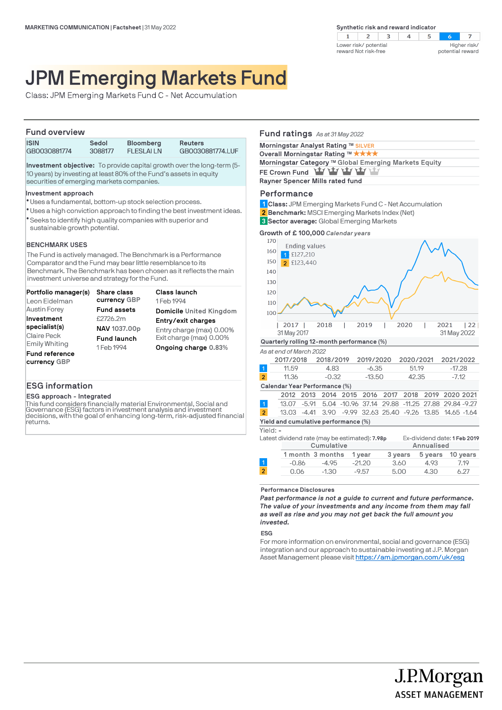

# JPM Emerging Markets Fund

Class: JPM Emerging Markets Fund C - Net Accumulation

### **Fund overview**

| <b>ISIN</b>  | Sedol   | <b>Bloomberg</b> | <b>Reuters</b>   |  |  |
|--------------|---------|------------------|------------------|--|--|
| GB0030881774 | 3088177 | <b>FLESLAILN</b> | GB0030881774.LUF |  |  |
|              |         |                  |                  |  |  |

**Investment objective:** To provide capital growth over the long-term (5- 10 years) by investing at least 80% of the Fund's assets in equity securities of emerging markets companies.

#### **Investment approach**

- Uses a fundamental, bottom-up stock selection process. l
- Uses a high conviction approach to finding the best investment ideas. l
- Seeks to identify high quality companies with superior and l sustainable growth potential.

### **BENCHMARK USES**

The Fund is actively managed. The Benchmark is a Performance Comparator and the Fund may bear little resemblance to its Benchmark. The Benchmark has been chosen as it reflects the main investment universe and strategy for the Fund.

| Portfolio manager(s)                  | <b>Share class</b> | Class launch                   |
|---------------------------------------|--------------------|--------------------------------|
| Leon Eidelman                         | currency GBP       | 1 Feb 1994                     |
| <b>Austin Forey</b>                   | <b>Fund assets</b> | <b>Domicile</b> United Kingdom |
| Investment                            | £2726.2m           | Entry/exit charges             |
| specialist(s)                         | NAV 1037.00p       | Entry charge (max) 0.00%       |
| Claire Peck                           | <b>Fund launch</b> | Exit charge (max) 0.00%        |
| <b>Emily Whiting</b>                  | 1 Feb 1994         | Ongoing charge 0.83%           |
| <b>Fund reference</b><br>currency GBP |                    |                                |

## **ESG information**

**ESG approach - Integrated**

This fund considers financially material Environmental, Social and Governance (ESG) factors in investment analysis and investment decisions, with the goal of enhancing long-term, risk-adjusted financial returns.

|     | Fund ratings As at 31 May 2022                                                                                                                                                      |  |
|-----|-------------------------------------------------------------------------------------------------------------------------------------------------------------------------------------|--|
|     | Morningstar Analyst Rating ™ SILVER                                                                                                                                                 |  |
|     | Overall Morningstar Rating ™ ★★★★                                                                                                                                                   |  |
|     | Morningstar Category ™ Global Emerging Markets Equity                                                                                                                               |  |
|     | FE Crown Fund Yay Yay Yay Yay Yay                                                                                                                                                   |  |
|     | Rayner Spencer Mills rated fund                                                                                                                                                     |  |
|     | Performance<br>1 Class: JPM Emerging Markets Fund C - Net Accumulation<br><b>2 Benchmark:</b> MSCI Emerging Markets Index (Net)<br><b>3 Sector average:</b> Global Emerging Markets |  |
|     | Growth of $\pounds$ 100,000 Calendar years                                                                                                                                          |  |
| 170 | <b>Ending values</b>                                                                                                                                                                |  |
| 160 | £127,210                                                                                                                                                                            |  |
| 150 | 2 £123,440                                                                                                                                                                          |  |
| 140 |                                                                                                                                                                                     |  |
| 130 |                                                                                                                                                                                     |  |
| 120 |                                                                                                                                                                                     |  |
|     |                                                                                                                                                                                     |  |

| 12017       | 2018 | 2019 | 2020 | 2021        | $\overline{22}$ |
|-------------|------|------|------|-------------|-----------------|
| 31 May 2017 |      |      |      | 31 May 2022 |                 |

### **Quarterly rolling 12-month performance (%)**

*As at end of March 2022*

|                | 2017/2018                            | 2018/2019 |                                                              | 2019/2020 |  | 2020/2021 |  | 2021/2022 |  |
|----------------|--------------------------------------|-----------|--------------------------------------------------------------|-----------|--|-----------|--|-----------|--|
| $\overline{1}$ | 11.59                                | 4.83      |                                                              | $-6.35$   |  | 51.19     |  | $-17.28$  |  |
| $\overline{2}$ | 11.36                                | $-0.32$   |                                                              | $-13.50$  |  | 42.35     |  | $-7.12$   |  |
|                | Calendar Year Performance (%)        |           |                                                              |           |  |           |  |           |  |
|                |                                      |           | 2012 2013 2014 2015 2016 2017 2018 2019 2020 2021            |           |  |           |  |           |  |
| $\vert$ 1      |                                      |           | 13.07 -5.91 5.04 -10.96 37.14 29.88 -11.25 27.88 29.84 -9.27 |           |  |           |  |           |  |
| $\overline{2}$ |                                      |           | 13.03 -4.41 3.90 -9.99 32.63 25.40 -9.26 13.85 14.65 -1.64   |           |  |           |  |           |  |
|                | Yield and cumulative performance (%) |           |                                                              |           |  |           |  |           |  |

Yield: **-**

110  $100$ 

| $11511.7 - 1$  |            |                                                |          |         |            |                              |
|----------------|------------|------------------------------------------------|----------|---------|------------|------------------------------|
|                |            | Latest dividend rate (may be estimated): 7.98p |          |         |            | Ex-dividend date: 1 Feb 2019 |
|                | Cumulative |                                                |          |         | Annualised |                              |
|                |            | 1 month 3 months                               | 1 vear   | 3 years | 5 years    | 10 vears                     |
|                | $-0.86$    | $-4.95$                                        | $-21.20$ | 3.60    | 4.93       | 7.19                         |
| $\overline{2}$ | 0.06       | $-1.30$                                        | $-9.57$  | 5.00    | 4.30       | 6.27                         |
|                |            |                                                |          |         |            |                              |

#### **Performance Disclosures**

*Past performance is not a guide to current and future performance. The value of your investments and any income from them may fall as well as rise and you may not get back the full amount you invested.* 

**ESG**

For more information on environmental, social and governance (ESG) integration and our approach to sustainable investing at J.P. Morgan Asset Management please visit https://am.jpmorgan.com/uk/esg

J.P.Morgan

**ASSET MANAGEMENT**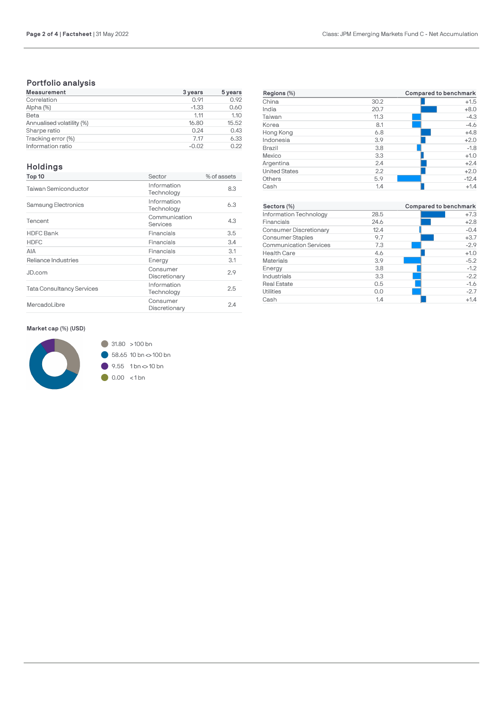# **Portfolio analysis**

| Measurement               | 3 years | 5 years |
|---------------------------|---------|---------|
| Correlation               | 0.91    | 0.92    |
| Alpha (%)                 | $-1.33$ | 0.60    |
| Beta                      | 1.11    | 1.10    |
| Annualised volatility (%) | 16.80   | 15.52   |
| Sharpe ratio              | 0.24    | 0.43    |
| Tracking error (%)        | 7.17    | 6.33    |
| Information ratio         | $-0.02$ | 0.22    |

# **Holdings**

| Top 10                           | Sector                    | % of assets |
|----------------------------------|---------------------------|-------------|
| Taiwan Semiconductor             | Information<br>Technology | 8.3         |
| <b>Samsung Electronics</b>       | Information<br>Technology | 6.3         |
| Tencent                          | Communication<br>Services | 4.3         |
| <b>HDFC Bank</b>                 | Financials                | 3.5         |
| <b>HDFC</b>                      | Financials                | 3.4         |
| AIA                              | Financials                | 3.1         |
| Reliance Industries              | Energy                    | 3.1         |
| JD.com                           | Consumer<br>Discretionary | 2.9         |
| <b>Tata Consultancy Services</b> | Information<br>Technology | 2.5         |
| MercadoLibre                     | Consumer<br>Discretionary | 2.4         |
|                                  |                           |             |

| Regions (%)          | Compared to benchmark |         |  |  |
|----------------------|-----------------------|---------|--|--|
| China                | 30.2                  | $+1.5$  |  |  |
| India                | 20.7                  | $+8.0$  |  |  |
| Taiwan               | 11.3                  | $-4.3$  |  |  |
| Korea                | 8.1                   | $-4.6$  |  |  |
| Hong Kong            | 6.8                   | $+4.8$  |  |  |
| Indonesia            | 3.9                   | $+2.0$  |  |  |
| <b>Brazil</b>        | 3.8                   | $-1.8$  |  |  |
| Mexico               | 3.3                   | $+1.0$  |  |  |
| Argentina            | 2.4                   | $+2.4$  |  |  |
| <b>United States</b> | 2.2                   | $+2.0$  |  |  |
| Others               | 5.9                   | $-12.4$ |  |  |
| Cash                 | 1.4                   | $+1.4$  |  |  |

| Sectors (%)                   |      | Compared to benchmark |
|-------------------------------|------|-----------------------|
| Information Technology        | 28.5 | $+7.3$                |
| Financials                    | 24.6 | $+2.8$                |
| <b>Consumer Discretionary</b> | 12.4 | $-0.4$                |
| <b>Consumer Staples</b>       | 9.7  | $+3.7$                |
| <b>Communication Services</b> | 7.3  | $-2.9$                |
| <b>Health Care</b>            | 4.6  | $+1.0$                |
| <b>Materials</b>              | 3.9  | $-5.2$                |
| Energy                        | 3.8  | $-1.2$                |
| Industrials                   | 3.3  | $-2.2$                |
| <b>Real Estate</b>            | 0.5  | $-1.6$                |
| Utilities                     | 0.0  | $-2.7$                |
| Cash                          | 1.4  | $+1.4$                |

### **Market cap (%) (USD)**

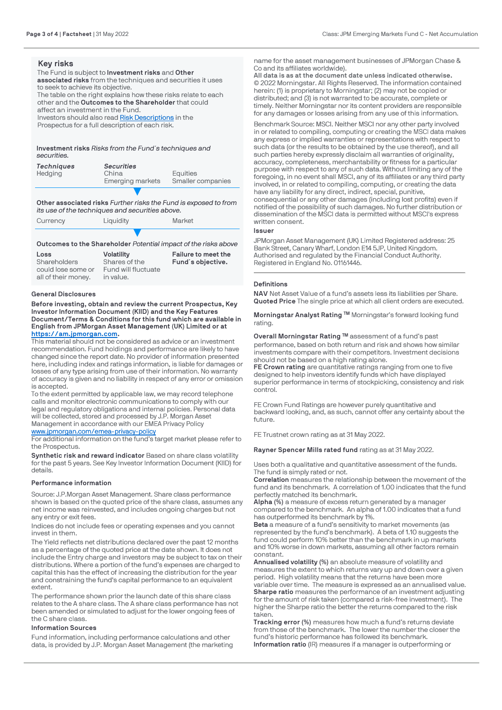### **Key risks**

The Fund is subject to **Investment risks** and **Other associated risks** from the techniques and securities it uses to seek to achieve its objective. The table on the right explains how these risks relate to each other and the **Outcomes to the Shareholder** that could

affect an investment in the Fund.

Investors should also read [Risk Descriptions](https://am.jpmorgan.com/gb/en/asset-management/adv/products/fund-explorer/oeics) in the

Prospectus for a full description of each risk.

**Investment risks** *Risks from the Fund´s techniques and securities.*

| Techniques | <b>Securities</b> |                   |
|------------|-------------------|-------------------|
| Hedging    | China             | Equities          |
|            | Emerging markets  | Smaller companies |
|            |                   |                   |

**Other associated risks** *Further risks the Fund is exposed to from its use of the techniques and securities above.*

| Currency | Liquidity | Market |
|----------|-----------|--------|
|          |           |        |

**Outcomes to the Shareholder** *Potential impact of the risks above*

| Loss                | <b>Volatility</b>   | Failure to meet the |
|---------------------|---------------------|---------------------|
| Shareholders        | Shares of the       | Fund's objective.   |
| could lose some or  | Fund will fluctuate |                     |
| all of their money. | in value.           |                     |

### **General Disclosures**

**Before investing, obtain and review the current Prospectus, Key Investor Information Document (KIID) and the Key Features Document/Terms & Conditions for this fund which are available in English from JPMorgan Asset Management (UK) Limited or at [https://am.jpmorgan.com](https://am.jpmorgan.com/).** 

This material should not be considered as advice or an investment recommendation. Fund holdings and performance are likely to have changed since the report date. No provider of information presented here, including index and ratings information, is liable for damages or losses of any type arising from use of their information. No warranty of accuracy is given and no liability in respect of any error or omission is accepted.

To the extent permitted by applicable law, we may record telephone calls and monitor electronic communications to comply with our legal and regulatory obligations and internal policies. Personal data will be collected, stored and processed by J.P. Morgan Asset Management in accordance with our EMEA Privacy Policy [www.jpmorgan.com/emea-privacy-policy](https://www.jpmorgan.com/emea-privacy-policy)

For additional information on the fund's target market please refer to the Prospectus.

**Synthetic risk and reward indicator** Based on share class volatility for the past 5 years. See Key Investor Information Document (KIID) for details.

### **Performance information**

Source: J.P.Morgan Asset Management. Share class performance shown is based on the quoted price of the share class, assumes any net income was reinvested, and includes ongoing charges but not any entry or exit fees.

Indices do not include fees or operating expenses and you cannot invest in them.

The Yield reflects net distributions declared over the past 12 months as a percentage of the quoted price at the date shown. It does not include the Entry charge and investors may be subject to tax on their distributions. Where a portion of the fund's expenses are charged to capital this has the effect of increasing the distribution for the year and constraining the fund's capital performance to an equivalent extent.

The performance shown prior the launch date of this share class relates to the A share class. The A share class performance has not been amended or simulated to adjust for the lower ongoing fees of the C share class.

### **Information Sources**

Fund information, including performance calculations and other data, is provided by J.P. Morgan Asset Management (the marketing name for the asset management businesses of JPMorgan Chase & Co and its affiliates worldwide).

**All data is as at the document date unless indicated otherwise.** © 2022 Morningstar. All Rights Reserved. The information contained [herein: \(1\) is proprietary to Mo](https://am.jpmorgan.com/)rningstar; (2) may not be copied or distributed; and (3) is not warranted to be accurate, complete or timely. Neither Morningstar nor its content providers are responsible for any damages or losses arising from any use of this information.

Benchmark Source: MSCI. Neither MSCI nor any other party involved in or related to compiling, computing or creating the MSCI data makes any express or implied warranties or representations with respect to such data (or the results to be obtained by the use thereof), and all such parties hereby expressly disclaim all warranties of originality, accuracy, completeness, merchantability or fitness for a particular purpose with respect to any of such data. Without limiting any of the foregoing, in no event shall MSCI, any of its affiliates or any third party involved, in or related to compiling, computing, or creating the data [have any liability for any direct, indirect, sp](https://www.jpmorgan.com/emea-privacy-policy)ecial, punitive, consequential or any other damages (including lost profits) even if notified of the possibility of such damages. No further distribution or dissemination of the MSCI data is permitted without MSCI's express written consent.

#### **Issuer**

JPMorgan Asset Management (UK) Limited Registered address: 25 Bank Street, Canary Wharf, London E14 5JP, United Kingdom. Authorised and regulated by the Financial Conduct Authority. Registered in England No. 01161446.

### **Definitions**

**NAV** Net Asset Value of a fund's assets less its liabilities per Share. **Quoted Price** The single price at which all client orders are executed.

**Morningstar Analyst Rating ™** Morningstar's forward looking fund rating.

**Overall Morningstar Rating ™** assessment of a fund's past performance, based on both return and risk and shows how similar investments compare with their competitors. Investment decisions should not be based on a high rating alone.

**FE Crown rating** are quantitative ratings ranging from one to five designed to help investors identify funds which have displayed superior performance in terms of stockpicking, consistency and risk control.

FE Crown Fund Ratings are however purely quantitative and backward looking, and, as such, cannot offer any certainty about the future.

FE Trustnet crown rating as at 31 May 2022.

**Rayner Spencer Mills rated fund** rating as at 31 May 2022.

Uses both a qualitative and quantitative assessment of the funds. The fund is simply rated or not.

**Correlation** measures the relationship between the movement of the fund and its benchmark. A correlation of 1.00 indicates that the fund perfectly matched its benchmark.

**Alpha (%)** a measure of excess return generated by a manager compared to the benchmark. An alpha of 1.00 indicates that a fund has outperformed its benchmark by 1%.

**Beta** a measure of a fund's sensitivity to market movements (as represented by the fund's benchmark). A beta of 1.10 suggests the fund could perform 10% better than the benchmark in up markets and 10% worse in down markets, assuming all other factors remain constant.

**Annualised volatility (%)** an absolute measure of volatility and measures the extent to which returns vary up and down over a given period. High volatility means that the returns have been more variable over time. The measure is expressed as an annualised value. **Sharpe ratio** measures the performance of an investment adjusting for the amount of risk taken (compared a risk-free investment). The higher the Sharpe ratio the better the returns compared to the risk taken.

**Tracking error (%)** measures how much a fund's returns deviate from those of the benchmark. The lower the number the closer the fund's historic performance has followed its benchmark. **Information ratio** (IR) measures if a manager is outperforming or